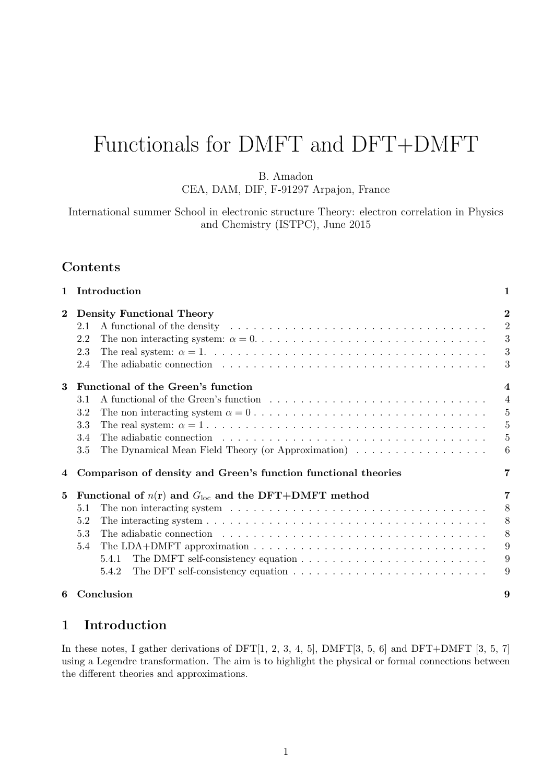# Functionals for DMFT and DFT+DMFT

B. Amadon

CEA, DAM, DIF, F-91297 Arpajon, France

International summer School in electronic structure Theory: electron correlation in Physics and Chemistry (ISTPC), June 2015

# Contents

| $\mathbf{1}$                                                                           | Introduction                                                                                                                                                                                                                          | 1              |  |  |  |  |  |  |  |  |
|----------------------------------------------------------------------------------------|---------------------------------------------------------------------------------------------------------------------------------------------------------------------------------------------------------------------------------------|----------------|--|--|--|--|--|--|--|--|
| <b>Density Functional Theory</b><br>$\mathbf{2}$                                       |                                                                                                                                                                                                                                       |                |  |  |  |  |  |  |  |  |
|                                                                                        | A functional of the density end is not in the set of the density end is not in the density end in the set of the density of the density of $A$<br>2.1                                                                                 | $\overline{2}$ |  |  |  |  |  |  |  |  |
|                                                                                        | 2.2                                                                                                                                                                                                                                   | 3              |  |  |  |  |  |  |  |  |
|                                                                                        | 2.3                                                                                                                                                                                                                                   | 3              |  |  |  |  |  |  |  |  |
|                                                                                        | 2.4<br>The adiabatic connection enterity is not entered to contact the set of the set of the set of the set of the set of the set of the set of the set of the set of the set of the set of the set of the set of the set of the set  | 3              |  |  |  |  |  |  |  |  |
| 3                                                                                      | Functional of the Green's function                                                                                                                                                                                                    |                |  |  |  |  |  |  |  |  |
|                                                                                        | 3.1                                                                                                                                                                                                                                   | $\overline{4}$ |  |  |  |  |  |  |  |  |
|                                                                                        | 3.2                                                                                                                                                                                                                                   | $\overline{5}$ |  |  |  |  |  |  |  |  |
|                                                                                        | 3.3                                                                                                                                                                                                                                   | $\overline{5}$ |  |  |  |  |  |  |  |  |
|                                                                                        | The adiabatic connection $\ldots \ldots \ldots \ldots \ldots \ldots \ldots \ldots \ldots \ldots \ldots$<br>3.4                                                                                                                        | $\overline{5}$ |  |  |  |  |  |  |  |  |
|                                                                                        | 3.5<br>The Dynamical Mean Field Theory (or Approximation) $\dots \dots \dots \dots \dots \dots$                                                                                                                                       | 6              |  |  |  |  |  |  |  |  |
|                                                                                        |                                                                                                                                                                                                                                       |                |  |  |  |  |  |  |  |  |
| 4                                                                                      | Comparison of density and Green's function functional theories                                                                                                                                                                        | 7              |  |  |  |  |  |  |  |  |
| Functional of $n(\mathbf{r})$ and $G_{\text{loc}}$ and the DFT+DMFT method<br>$\bf{5}$ |                                                                                                                                                                                                                                       |                |  |  |  |  |  |  |  |  |
|                                                                                        | The non interacting system $\dots \dots \dots \dots \dots \dots \dots \dots \dots \dots \dots \dots \dots$<br>5.1                                                                                                                     | 8              |  |  |  |  |  |  |  |  |
|                                                                                        | The interacting system $\dots \dots \dots \dots \dots \dots \dots \dots \dots \dots \dots \dots \dots \dots \dots$<br>5.2                                                                                                             | 8              |  |  |  |  |  |  |  |  |
|                                                                                        | 5.3<br>The adiabatic connection enters is a series of the series of the series of the series of the series of the series of the series of the series of the series of the series of the series of the series of the series of the ser | 8              |  |  |  |  |  |  |  |  |
|                                                                                        | 5.4                                                                                                                                                                                                                                   | 9              |  |  |  |  |  |  |  |  |
|                                                                                        | 5.4.1                                                                                                                                                                                                                                 | 9              |  |  |  |  |  |  |  |  |
|                                                                                        | 5.4.2                                                                                                                                                                                                                                 | 9              |  |  |  |  |  |  |  |  |
|                                                                                        |                                                                                                                                                                                                                                       |                |  |  |  |  |  |  |  |  |
| 6                                                                                      | Conclusion                                                                                                                                                                                                                            | 9              |  |  |  |  |  |  |  |  |

# 1 Introduction

In these notes, I gather derivations of DFT $[1, 2, 3, 4, 5]$ , DMFT $[3, 5, 6]$  and DFT+DMFT  $[3, 5, 7]$ using a Legendre transformation. The aim is to highlight the physical or formal connections between the different theories and approximations.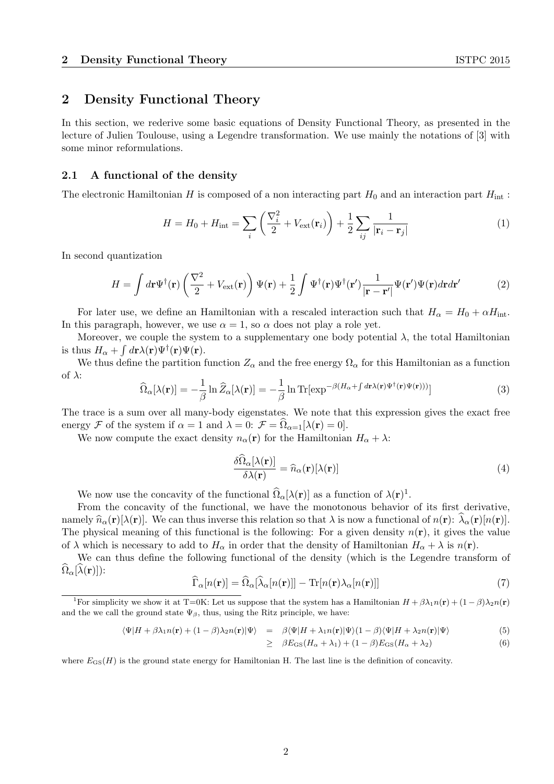# 2 Density Functional Theory

In this section, we rederive some basic equations of Density Functional Theory, as presented in the lecture of Julien Toulouse, using a Legendre transformation. We use mainly the notations of [3] with some minor reformulations.

#### 2.1 A functional of the density

The electronic Hamiltonian H is composed of a non interacting part  $H_0$  and an interaction part  $H_{\text{int}}$ :

$$
H = H_0 + H_{\rm int} = \sum_i \left( \frac{\nabla_i^2}{2} + V_{\rm ext}(\mathbf{r}_i) \right) + \frac{1}{2} \sum_{ij} \frac{1}{|\mathbf{r}_i - \mathbf{r}_j|} \tag{1}
$$

In second quantization

$$
H = \int d\mathbf{r} \Psi^{\dagger}(\mathbf{r}) \left(\frac{\nabla^2}{2} + V_{\text{ext}}(\mathbf{r})\right) \Psi(\mathbf{r}) + \frac{1}{2} \int \Psi^{\dagger}(\mathbf{r}) \Psi^{\dagger}(\mathbf{r'}) \frac{1}{|\mathbf{r} - \mathbf{r'}|} \Psi(\mathbf{r'}) \Psi(\mathbf{r}) d\mathbf{r} d\mathbf{r'}
$$
 (2)

For later use, we define an Hamiltonian with a rescaled interaction such that  $H_0 = H_0 + \alpha H_{\text{int}}$ . In this paragraph, however, we use  $\alpha = 1$ , so  $\alpha$  does not play a role yet.

Moreover, we couple the system to a supplementary one body potential  $\lambda$ , the total Hamiltonian is thus  $H_{\alpha} + \int d\mathbf{r} \lambda(\mathbf{r}) \Psi^{\dagger}(\mathbf{r}) \Psi(\mathbf{r}).$ 

We thus define the partition function  $Z_{\alpha}$  and the free energy  $\Omega_{\alpha}$  for this Hamiltonian as a function of  $\lambda$ :

$$
\widehat{\Omega}_{\alpha}[\lambda(\mathbf{r})] = -\frac{1}{\beta} \ln \widehat{Z}_{\alpha}[\lambda(\mathbf{r})] = -\frac{1}{\beta} \ln \text{Tr}[\exp^{-\beta(H_{\alpha} + \int d\mathbf{r}\lambda(\mathbf{r})\Psi^{\dagger}(\mathbf{r})\Psi(\mathbf{r})))}]
$$
(3)

The trace is a sum over all many-body eigenstates. We note that this expression gives the exact free energy F of the system if  $\alpha = 1$  and  $\lambda = 0$ :  $\mathcal{F} = \Omega_{\alpha=1}[\lambda(\mathbf{r}) = 0].$ 

We now compute the exact density  $n_{\alpha}(\mathbf{r})$  for the Hamiltonian  $H_{\alpha} + \lambda$ :

$$
\frac{\delta\Omega_{\alpha}[\lambda(\mathbf{r})]}{\delta\lambda(\mathbf{r})} = \hat{n}_{\alpha}(\mathbf{r})[\lambda(\mathbf{r})]
$$
\n(4)

We now use the concavity of the functional  $\hat{\Omega}_{\alpha}[\lambda(\mathbf{r})]$  as a function of  $\lambda(\mathbf{r})^1$ .

From the concavity of the functional, we have the monotonous behavior of its first derivative, namely  $\hat{n}_{\alpha}(\mathbf{r})[\lambda(\mathbf{r})]$ . We can thus inverse this relation so that  $\lambda$  is now a functional of  $n(\mathbf{r})$ :  $\hat{\lambda}_{\alpha}(\mathbf{r})[n(\mathbf{r})]$ . The physical meaning of this functional is the following: For a given density  $n(\mathbf{r})$ , it gives the value of  $\lambda$  which is necessary to add to  $H_{\alpha}$  in order that the density of Hamiltonian  $H_{\alpha} + \lambda$  is  $n(\mathbf{r})$ .

We can thus define the following functional of the density (which is the Legendre transform of  $\Omega_{\alpha}[\lambda({\bf r})]$ :

$$
\widehat{\Gamma}_{\alpha}[n(\mathbf{r})] = \widehat{\Omega}_{\alpha}[\widehat{\lambda}_{\alpha}[n(\mathbf{r})]] - \text{Tr}[n(\mathbf{r})\lambda_{\alpha}[n(\mathbf{r})]] \tag{7}
$$

$$
\langle \Psi | H + \beta \lambda_1 n(\mathbf{r}) + (1 - \beta) \lambda_2 n(\mathbf{r}) | \Psi \rangle = \beta \langle \Psi | H + \lambda_1 n(\mathbf{r}) | \Psi \rangle (1 - \beta) \langle \Psi | H + \lambda_2 n(\mathbf{r}) | \Psi \rangle \tag{5}
$$

$$
\geq \beta E_{\rm GS}(H_\alpha + \lambda_1) + (1 - \beta) E_{\rm GS}(H_\alpha + \lambda_2) \tag{6}
$$

where  $E_{\text{GS}}(H)$  is the ground state energy for Hamiltonian H. The last line is the definition of concavity.

<sup>&</sup>lt;sup>1</sup>For simplicity we show it at T=0K: Let us suppose that the system has a Hamiltonian  $H + \beta \lambda_1 n(\mathbf{r}) + (1 - \beta)\lambda_2 n(\mathbf{r})$ and the we call the ground state  $\Psi_{\beta}$ , thus, using the Ritz principle, we have: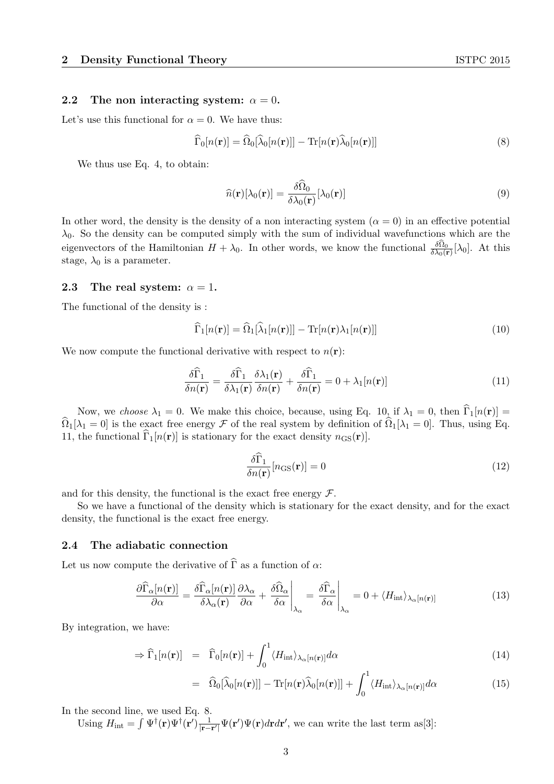#### 2.2 The non interacting system:  $\alpha = 0$ .

Let's use this functional for  $\alpha = 0$ . We have thus:

$$
\widehat{\Gamma}_0[n(\mathbf{r})] = \widehat{\Omega}_0[\widehat{\lambda}_0[n(\mathbf{r})]] - \text{Tr}[n(\mathbf{r})\widehat{\lambda}_0[n(\mathbf{r})]] \tag{8}
$$

We thus use Eq. 4, to obtain:

$$
\widehat{n}(\mathbf{r})[\lambda_0(\mathbf{r})] = \frac{\delta \widehat{\Omega}_0}{\delta \lambda_0(\mathbf{r})}[\lambda_0(\mathbf{r})]
$$
\n(9)

In other word, the density is the density of a non interacting system  $(\alpha = 0)$  in an effective potential  $\lambda_0$ . So the density can be computed simply with the sum of individual wavefunctions which are the eigenvectors of the Hamiltonian  $H + \lambda_0$ . In other words, we know the functional  $\frac{\delta\Omega_0}{\delta\lambda_0(\mathbf{r})}[\lambda_0]$ . At this stage,  $\lambda_0$  is a parameter.

#### 2.3 The real system:  $\alpha = 1$ .

The functional of the density is :

$$
\widehat{\Gamma}_1[n(\mathbf{r})] = \widehat{\Omega}_1[\widehat{\lambda}_1[n(\mathbf{r})]] - \text{Tr}[n(\mathbf{r})\lambda_1[n(\mathbf{r})]] \tag{10}
$$

We now compute the functional derivative with respect to  $n(\mathbf{r})$ :

$$
\frac{\delta\widehat{\Gamma}_1}{\delta n(\mathbf{r})} = \frac{\delta\widehat{\Gamma}_1}{\delta\lambda_1(\mathbf{r})}\frac{\delta\lambda_1(\mathbf{r})}{\delta n(\mathbf{r})} + \frac{\delta\widehat{\Gamma}_1}{\delta n(\mathbf{r})} = 0 + \lambda_1[n(\mathbf{r})]
$$
(11)

Now, we choose  $\lambda_1 = 0$ . We make this choice, because, using Eq. 10, if  $\lambda_1 = 0$ , then  $\widehat{\Gamma}_1[n(\mathbf{r})] =$  $\widehat{\Omega}_1[\lambda_1 = 0]$  is the exact free energy F of the real system by definition of  $\widehat{\Omega}_1[\lambda_1 = 0]$ . Thus, using Eq. 11, the functional  $\widehat{\Gamma}_1[n(\mathbf{r})]$  is stationary for the exact density  $n_{\text{GS}}(\mathbf{r})$ .

$$
\frac{\delta\widehat{\Gamma}_1}{\delta n(\mathbf{r})} [n_{\text{GS}}(\mathbf{r})] = 0 \tag{12}
$$

and for this density, the functional is the exact free energy  $\mathcal{F}$ .

So we have a functional of the density which is stationary for the exact density, and for the exact density, the functional is the exact free energy.

#### 2.4 The adiabatic connection

Let us now compute the derivative of  $\widehat{\Gamma}$  as a function of  $\alpha$ :

$$
\frac{\partial \widehat{\Gamma}_{\alpha}[n(\mathbf{r})]}{\partial \alpha} = \frac{\delta \widehat{\Gamma}_{\alpha}[n(\mathbf{r})]}{\delta \lambda_{\alpha}(\mathbf{r})} \frac{\partial \lambda_{\alpha}}{\partial \alpha} + \frac{\delta \widehat{\Omega}_{\alpha}}{\delta \alpha} \bigg|_{\lambda_{\alpha}} = \frac{\delta \widehat{\Gamma}_{\alpha}}{\delta \alpha} \bigg|_{\lambda_{\alpha}} = 0 + \langle H_{\text{int}} \rangle_{\lambda_{\alpha}[n(\mathbf{r})]} \tag{13}
$$

By integration, we have:

$$
\Rightarrow \widehat{\Gamma}_1[n(\mathbf{r})] = \widehat{\Gamma}_0[n(\mathbf{r})] + \int_0^1 \langle H_{\text{int}} \rangle_{\lambda_\alpha[n(\mathbf{r})]} d\alpha \tag{14}
$$

$$
= \widehat{\Omega}_0[\widehat{\lambda}_0[n(\mathbf{r})]] - \text{Tr}[n(\mathbf{r})\widehat{\lambda}_0[n(\mathbf{r})]] + \int_0^1 \langle H_{\text{int}} \rangle_{\lambda_\alpha[n(\mathbf{r})]} d\alpha \tag{15}
$$

In the second line, we used Eq. 8.

Using  $H_{\text{int}} = \int \Psi^{\dagger}(\mathbf{r}) \Psi^{\dagger}(\mathbf{r}') \frac{1}{|\mathbf{r}-\mathbf{r}'|}$  $\frac{1}{|\mathbf{r}-\mathbf{r}'|}\Psi(\mathbf{r}')\Psi(\mathbf{r})d\mathbf{r}d\mathbf{r}'$ , we can write the last term as[3]: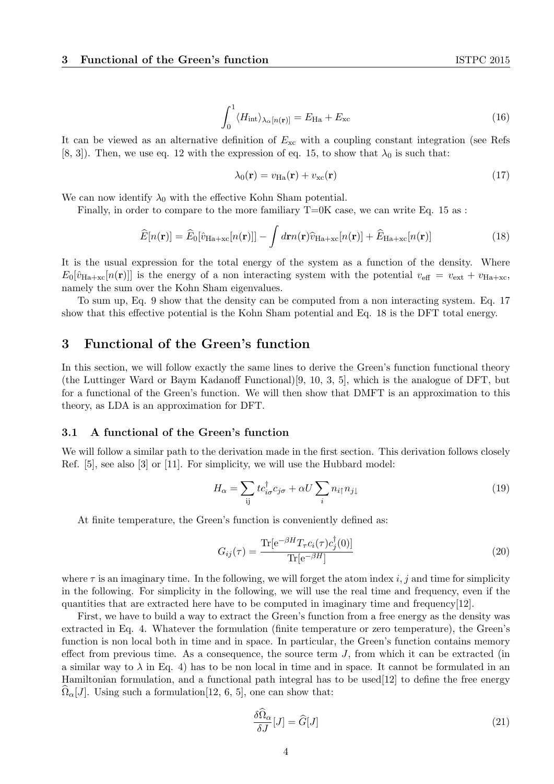$$
\int_0^1 \langle H_{\rm int} \rangle_{\lambda_\alpha[n(\mathbf{r})]} = E_{\rm Ha} + E_{\rm xc}
$$
\n(16)

It can be viewed as an alternative definition of  $E_{\rm xc}$  with a coupling constant integration (see Refs [8, 3]). Then, we use eq. 12 with the expression of eq. 15, to show that  $\lambda_0$  is such that:

$$
\lambda_0(\mathbf{r}) = v_{\text{Ha}}(\mathbf{r}) + v_{\text{xc}}(\mathbf{r}) \tag{17}
$$

We can now identify  $\lambda_0$  with the effective Kohn Sham potential.

Finally, in order to compare to the more familiary  $T=0K$  case, we can write Eq. 15 as :

$$
\widehat{E}[n(\mathbf{r})] = \widehat{E}_0[\widehat{v}_{\text{Ha+xc}}[n(\mathbf{r})]] - \int d\mathbf{r} n(\mathbf{r}) \widehat{v}_{\text{Ha+xc}}[n(\mathbf{r})] + \widehat{E}_{\text{Ha+xc}}[n(\mathbf{r})]
$$
(18)

It is the usual expression for the total energy of the system as a function of the density. Where  $E_0[\hat{v}_{\text{Ha+xc}}[n(\mathbf{r})]]$  is the energy of a non interacting system with the potential  $v_{\text{eff}} = v_{\text{ext}} + v_{\text{Ha+xc}}$ , namely the sum over the Kohn Sham eigenvalues.

To sum up, Eq. 9 show that the density can be computed from a non interacting system. Eq. 17 show that this effective potential is the Kohn Sham potential and Eq. 18 is the DFT total energy.

# 3 Functional of the Green's function

In this section, we will follow exactly the same lines to derive the Green's function functional theory (the Luttinger Ward or Baym Kadanoff Functional)[9, 10, 3, 5], which is the analogue of DFT, but for a functional of the Green's function. We will then show that DMFT is an approximation to this theory, as LDA is an approximation for DFT.

## 3.1 A functional of the Green's function

We will follow a similar path to the derivation made in the first section. This derivation follows closely Ref. [5], see also [3] or [11]. For simplicity, we will use the Hubbard model:

$$
H_{\alpha} = \sum_{ij} t c_{i\sigma}^{\dagger} c_{j\sigma} + \alpha U \sum_{i} n_{i\uparrow} n_{j\downarrow}
$$
 (19)

At finite temperature, the Green's function is conveniently defined as:

$$
G_{ij}(\tau) = \frac{\text{Tr}[\text{e}^{-\beta H} T_{\tau} c_i(\tau) c_j^{\dagger}(0)]}{\text{Tr}[\text{e}^{-\beta H}]}
$$
(20)

where  $\tau$  is an imaginary time. In the following, we will forget the atom index i, j and time for simplicity in the following. For simplicity in the following, we will use the real time and frequency, even if the quantities that are extracted here have to be computed in imaginary time and frequency[12].

First, we have to build a way to extract the Green's function from a free energy as the density was extracted in Eq. 4. Whatever the formulation (finite temperature or zero temperature), the Green's function is non local both in time and in space. In particular, the Green's function contains memory effect from previous time. As a consequence, the source term  $J$ , from which it can be extracted (in a similar way to  $\lambda$  in Eq. 4) has to be non local in time and in space. It cannot be formulated in an Hamiltonian formulation, and a functional path integral has to be used[12] to define the free energy  $\Omega_{\alpha}[J]$ . Using such a formulation[12, 6, 5], one can show that:

$$
\frac{\delta\hat{\Omega}_{\alpha}}{\delta J}[J] = \hat{G}[J] \tag{21}
$$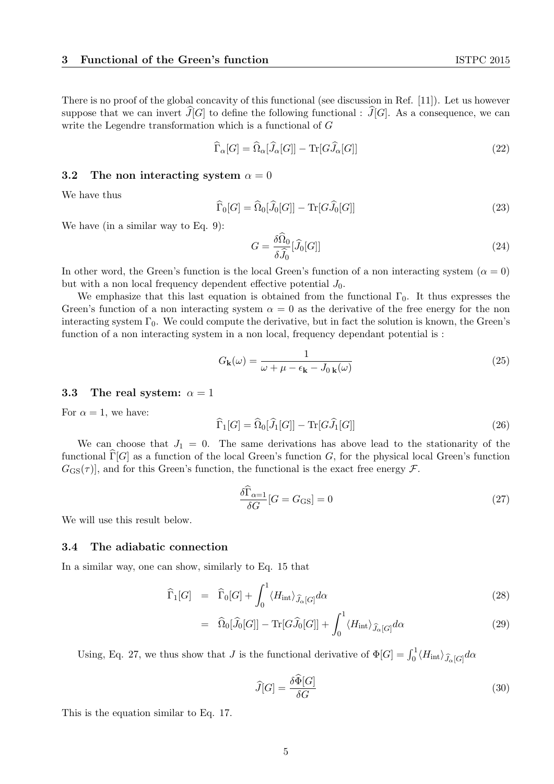There is no proof of the global concavity of this functional (see discussion in Ref. [11]). Let us however suppose that we can invert  $\widehat{J}[G]$  to define the following functional :  $\widehat{J}[G]$ . As a consequence, we can write the Legendre transformation which is a functional of G

$$
\widehat{\Gamma}_{\alpha}[G] = \widehat{\Omega}_{\alpha}[\widehat{J}_{\alpha}[G]] - \text{Tr}[G\widehat{J}_{\alpha}[G]] \tag{22}
$$

#### 3.2 The non interacting system  $\alpha = 0$

We have thus

$$
\widehat{\Gamma}_0[G] = \widehat{\Omega}_0[\widehat{J}_0[G]] - \text{Tr}[G\widehat{J}_0[G]] \tag{23}
$$

We have (in a similar way to Eq. 9):

$$
G = \frac{\delta \widehat{\Omega}_0}{\delta \widehat{J}_0} [\widehat{J}_0[G]] \tag{24}
$$

In other word, the Green's function is the local Green's function of a non interacting system ( $\alpha = 0$ ) but with a non local frequency dependent effective potential  $J_0$ .

We emphasize that this last equation is obtained from the functional  $\Gamma_0$ . It thus expresses the Green's function of a non interacting system  $\alpha = 0$  as the derivative of the free energy for the non interacting system  $\Gamma_0$ . We could compute the derivative, but in fact the solution is known, the Green's function of a non interacting system in a non local, frequency dependant potential is :

$$
G_{\mathbf{k}}(\omega) = \frac{1}{\omega + \mu - \epsilon_{\mathbf{k}} - J_{0\,\mathbf{k}}(\omega)}\tag{25}
$$

#### 3.3 The real system:  $\alpha = 1$

For  $\alpha = 1$ , we have:

$$
\widehat{\Gamma}_1[G] = \widehat{\Omega}_0[\widehat{J}_1[G]] - \text{Tr}[G\widehat{J}_1[G]] \tag{26}
$$

We can choose that  $J_1 = 0$ . The same derivations has above lead to the stationarity of the functional  $\Gamma[G]$  as a function of the local Green's function G, for the physical local Green's function  $G_{\text{GS}}(\tau)$ , and for this Green's function, the functional is the exact free energy  $\mathcal{F}$ .

$$
\frac{\delta \widehat{\Gamma}_{\alpha=1}}{\delta G} [G = G_{\text{GS}}] = 0 \tag{27}
$$

We will use this result below.

## 3.4 The adiabatic connection

In a similar way, one can show, similarly to Eq. 15 that

$$
\widehat{\Gamma}_1[G] = \widehat{\Gamma}_0[G] + \int_0^1 \langle H_{\rm int} \rangle_{\widehat{J}_\alpha[G]} d\alpha \tag{28}
$$

$$
= \widehat{\Omega}_0[\widehat{J}_0[G]] - \text{Tr}[G\widehat{J}_0[G]] + \int_0^1 \langle H_{\rm int} \rangle_{\widehat{J}_\alpha[G]} d\alpha \tag{29}
$$

Using, Eq. 27, we thus show that J is the functional derivative of  $\Phi[G] = \int_0^1 \langle H_{\text{int}} \rangle_{\widehat{J}_{\alpha}[G]} d\alpha$ 

$$
\widehat{J}[G] = \frac{\delta \widehat{\Phi}[G]}{\delta G} \tag{30}
$$

This is the equation similar to Eq. 17.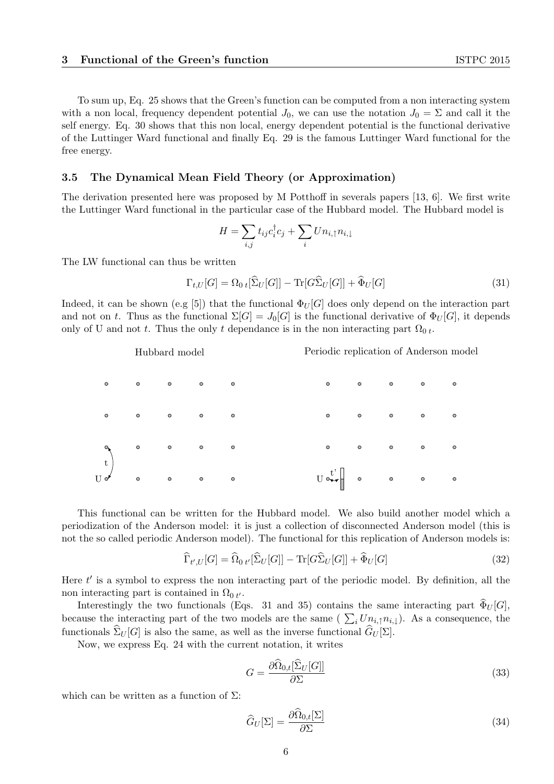To sum up, Eq. 25 shows that the Green's function can be computed from a non interacting system with a non local, frequency dependent potential  $J_0$ , we can use the notation  $J_0 = \Sigma$  and call it the self energy. Eq. 30 shows that this non local, energy dependent potential is the functional derivative of the Luttinger Ward functional and finally Eq. 29 is the famous Luttinger Ward functional for the free energy.

# 3.5 The Dynamical Mean Field Theory (or Approximation)

The derivation presented here was proposed by M Potthoff in severals papers [13, 6]. We first write the Luttinger Ward functional in the particular case of the Hubbard model. The Hubbard model is

$$
H = \sum_{i,j} t_{ij} c_i^{\dagger} c_j + \sum_i U n_{i,\uparrow} n_{i,\downarrow}
$$

The LW functional can thus be written

$$
\Gamma_{t,U}[G] = \Omega_0 \, t[\widehat{\Sigma}_U[G]] - \text{Tr}[G\widehat{\Sigma}_U[G]] + \widehat{\Phi}_U[G] \tag{31}
$$

Indeed, it can be shown (e.g [5]) that the functional  $\Phi_U[G]$  does only depend on the interaction part and not on t. Thus as the functional  $\Sigma[G] = J_0[G]$  is the functional derivative of  $\Phi_U[G]$ , it depends only of U and not t. Thus the only t dependance is in the non interacting part  $\Omega_{0,t}$ .

|           |           | Hubbard model                                                         |           |                          |                                                                                                      |           |                          |                                                           | Periodic replication of Anderson model |
|-----------|-----------|-----------------------------------------------------------------------|-----------|--------------------------|------------------------------------------------------------------------------------------------------|-----------|--------------------------|-----------------------------------------------------------|----------------------------------------|
| $\circ$   | $\bullet$ | $\bullet$                                                             | $\bullet$ | $\bullet$                | $\bullet$                                                                                            | $\bullet$ | $\bullet$                | $\circ$ $\circ$                                           |                                        |
| $\bullet$ | $\bullet$ | $\overline{\phantom{a}}$                                              | $\bullet$ | $\overline{\phantom{0}}$ | $\bullet$                                                                                            | $\bullet$ | $\overline{\phantom{0}}$ | $\begin{matrix} \bullet & \bullet & \bullet \end{matrix}$ |                                        |
|           |           |                                                                       |           |                          | $\circ$                                                                                              | $\bullet$ | $\bullet$                | $\begin{matrix} \bullet & \bullet & \bullet \end{matrix}$ |                                        |
|           |           | $\begin{pmatrix} 0 & 0 & 0 & 0 & 0 \ 0 & 0 & 0 & 0 & 0 \end{pmatrix}$ |           |                          | $U \circ \star \star$ $\begin{bmatrix} 1 \\ 1 \end{bmatrix}$ $\circ$ $\circ$ $\circ$ $\circ$ $\circ$ |           |                          |                                                           |                                        |

This functional can be written for the Hubbard model. We also build another model which a periodization of the Anderson model: it is just a collection of disconnected Anderson model (this is not the so called periodic Anderson model). The functional for this replication of Anderson models is:

$$
\widehat{\Gamma}_{t',U}[G] = \widehat{\Omega}_{0\ t'}[\widehat{\Sigma}_U[G]] - \text{Tr}[G\widehat{\Sigma}_U[G]] + \widehat{\Phi}_U[G] \tag{32}
$$

Here  $t'$  is a symbol to express the non interacting part of the periodic model. By definition, all the non interacting part is contained in  $\Omega_0 t$ .

Interestingly the two functionals (Eqs. 31 and 35) contains the same interacting part  $\Phi_U[G]$ , because the interacting part of the two models are the same ( $\sum_i U_{n_i,\uparrow} n_{i,\downarrow}$ ). As a consequence, the functionals  $\widehat{\Sigma}_U[G]$  is also the same, as well as the inverse functional  $\widehat{G}_U[\Sigma]$ .

Now, we express Eq. 24 with the current notation, it writes

$$
G = \frac{\partial \widehat{\Omega}_{0,t}[\widehat{\Sigma}_U[G]]}{\partial \Sigma} \tag{33}
$$

which can be written as a function of  $\Sigma$ :

$$
\widehat{G}_U[\Sigma] = \frac{\partial \widehat{\Omega}_{0,t}[\Sigma]}{\partial \Sigma} \tag{34}
$$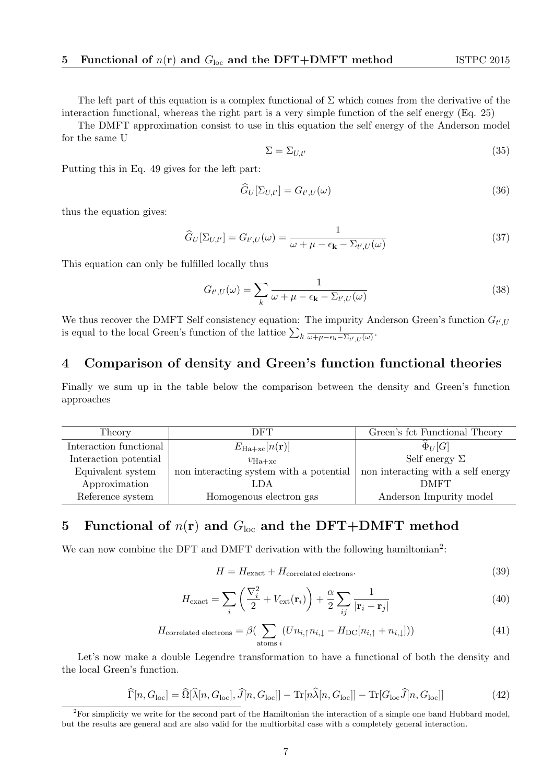The left part of this equation is a complex functional of  $\Sigma$  which comes from the derivative of the interaction functional, whereas the right part is a very simple function of the self energy (Eq. 25)

The DMFT approximation consist to use in this equation the self energy of the Anderson model for the same U

$$
\Sigma = \Sigma_{U,t'} \tag{35}
$$

Putting this in Eq. 49 gives for the left part:

$$
\widehat{G}_U[\Sigma_{U,t'}] = G_{t',U}(\omega) \tag{36}
$$

thus the equation gives:

$$
\widehat{G}_U[\Sigma_{U,t'}] = G_{t',U}(\omega) = \frac{1}{\omega + \mu - \epsilon_\mathbf{k} - \Sigma_{t',U}(\omega)}\tag{37}
$$

This equation can only be fulfilled locally thus

$$
G_{t',U}(\omega) = \sum_{k} \frac{1}{\omega + \mu - \epsilon_{\mathbf{k}} - \Sigma_{t',U}(\omega)}
$$
(38)

We thus recover the DMFT Self consistency equation: The impurity Anderson Green's function  $G_{t',U}$ is equal to the local Green's function of the lattice  $\sum_{k} \frac{1}{\omega + \mu - \epsilon_{k}}$  $\frac{1}{\omega + \mu - \epsilon_{\mathbf{k}} - \Sigma_{t',U}(\omega)}$ .

# 4 Comparison of density and Green's function functional theories

Finally we sum up in the table below the comparison between the density and Green's function approaches

| Theory                 | DFT                                     | Green's fct Functional Theory      |
|------------------------|-----------------------------------------|------------------------------------|
| Interaction functional | $E_{\rm Ha+xc}[n(\mathbf{r})]$          | $\Phi_U[G]$                        |
| Interaction potential  | $v_{\text{Ha+xc}}$                      | Self energy $\Sigma$               |
| Equivalent system      | non interacting system with a potential | non interacting with a self energy |
| Approximation          | LDA                                     | <b>DMFT</b>                        |
| Reference system       | Homogenous electron gas                 | Anderson Impurity model            |
|                        |                                         |                                    |

# 5 Functional of  $n(r)$  and  $G_{loc}$  and the DFT+DMFT method

We can now combine the DFT and DMFT derivation with the following hamiltonian<sup>2</sup>:

$$
H = H_{\text{exact}} + H_{\text{correlated electrons}}.\tag{39}
$$

$$
H_{\text{exact}} = \sum_{i} \left( \frac{\nabla_i^2}{2} + V_{\text{ext}}(\mathbf{r}_i) \right) + \frac{\alpha}{2} \sum_{ij} \frac{1}{|\mathbf{r}_i - \mathbf{r}_j|} \tag{40}
$$

$$
H_{\text{correlated electrons}} = \beta \left( \sum_{\text{atoms } i} (Un_{i,\uparrow} n_{i,\downarrow} - H_{\text{DC}}[n_{i,\uparrow} + n_{i,\downarrow}]) \right) \tag{41}
$$

Let's now make a double Legendre transformation to have a functional of both the density and the local Green's function.

$$
\widehat{\Gamma}[n, G_{\text{loc}}] = \widehat{\Omega}[\widehat{\lambda}[n, G_{\text{loc}}], \widehat{J}[n, G_{\text{loc}}]] - \text{Tr}[n\widehat{\lambda}[n, G_{\text{loc}}]] - \text{Tr}[G_{\text{loc}}\widehat{J}[n, G_{\text{loc}}]] \tag{42}
$$

<sup>2</sup>For simplicity we write for the second part of the Hamiltonian the interaction of a simple one band Hubbard model, but the results are general and are also valid for the multiorbital case with a completely general interaction.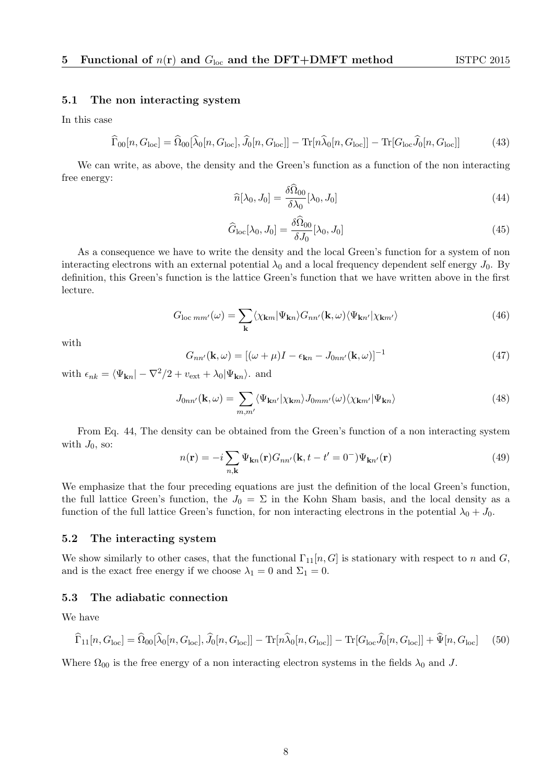## 5.1 The non interacting system

In this case

$$
\widehat{\Gamma}_{00}[n, G_{\text{loc}}] = \widehat{\Omega}_{00}[\widehat{\lambda}_0[n, G_{\text{loc}}], \widehat{J}_0[n, G_{\text{loc}}]] - \text{Tr}[n\widehat{\lambda}_0[n, G_{\text{loc}}]] - \text{Tr}[G_{\text{loc}}\widehat{J}_0[n, G_{\text{loc}}]] \tag{43}
$$

We can write, as above, the density and the Green's function as a function of the non interacting free energy:

$$
\widehat{n}[\lambda_0, J_0] = \frac{\delta \Omega_{00}}{\delta \lambda_0} [\lambda_0, J_0]
$$
\n(44)

$$
\widehat{G}_{\text{loc}}[\lambda_0, J_0] = \frac{\delta \widehat{\Omega}_{00}}{\delta J_0} [\lambda_0, J_0]
$$
\n(45)

As a consequence we have to write the density and the local Green's function for a system of non interacting electrons with an external potential  $\lambda_0$  and a local frequency dependent self energy  $J_0$ . By definition, this Green's function is the lattice Green's function that we have written above in the first lecture.

$$
G_{\text{loc}\,mm'}(\omega) = \sum_{\mathbf{k}} \langle \chi_{\mathbf{k}m} | \Psi_{\mathbf{k}n} \rangle G_{nn'}(\mathbf{k}, \omega) \langle \Psi_{\mathbf{k}n'} | \chi_{\mathbf{k}m'} \rangle \tag{46}
$$

with

$$
G_{nn'}(\mathbf{k},\omega) = [(\omega + \mu)I - \epsilon_{\mathbf{k}n} - J_{0nn'}(\mathbf{k},\omega)]^{-1}
$$
\n(47)

with  $\epsilon_{nk} = \langle \Psi_{kn} | -\nabla^2/2 + v_{ext} + \lambda_0 | \Psi_{kn} \rangle$ . and

$$
J_{0nn'}(\mathbf{k},\omega) = \sum_{m,m'} \langle \Psi_{\mathbf{k}n'} | \chi_{\mathbf{k}m} \rangle J_{0mm'}(\omega) \langle \chi_{\mathbf{k}m'} | \Psi_{\mathbf{k}n} \rangle \tag{48}
$$

From Eq. 44, The density can be obtained from the Green's function of a non interacting system with  $J_0$ , so:

$$
n(\mathbf{r}) = -i \sum_{n,\mathbf{k}} \Psi_{\mathbf{k}n}(\mathbf{r}) G_{nn'}(\mathbf{k}, t - t' = 0^{-}) \Psi_{\mathbf{k}n'}(\mathbf{r})
$$
(49)

We emphasize that the four preceding equations are just the definition of the local Green's function, the full lattice Green's function, the  $J_0 = \Sigma$  in the Kohn Sham basis, and the local density as a function of the full lattice Green's function, for non interacting electrons in the potential  $\lambda_0 + J_0$ .

#### 5.2 The interacting system

We show similarly to other cases, that the functional  $\Gamma_{11}[n, G]$  is stationary with respect to n and G, and is the exact free energy if we choose  $\lambda_1 = 0$  and  $\Sigma_1 = 0$ .

## 5.3 The adiabatic connection

We have

$$
\widehat{\Gamma}_{11}[n, G_{\text{loc}}] = \widehat{\Omega}_{00}[\widehat{\lambda}_{0}[n, G_{\text{loc}}], \widehat{J}_{0}[n, G_{\text{loc}}]] - \text{Tr}[n\widehat{\lambda}_{0}[n, G_{\text{loc}}]] - \text{Tr}[G_{\text{loc}}\widehat{J}_{0}[n, G_{\text{loc}}]] + \widehat{\Psi}[n, G_{\text{loc}}] \tag{50}
$$

Where  $\Omega_{00}$  is the free energy of a non interacting electron systems in the fields  $\lambda_0$  and J.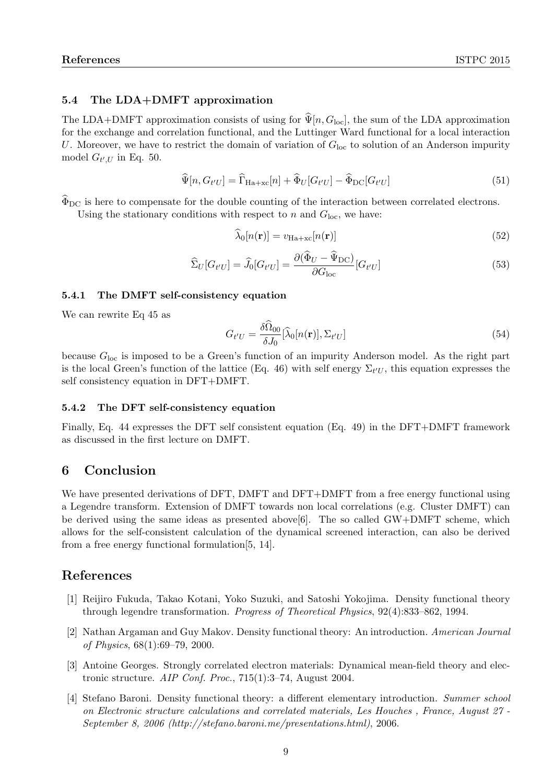# 5.4 The LDA+DMFT approximation

The LDA+DMFT approximation consists of using for  $\hat{\Psi}[n, G_{\text{loc}}]$ , the sum of the LDA approximation for the exchange and correlation functional, and the Luttinger Ward functional for a local interaction U. Moreover, we have to restrict the domain of variation of  $G<sub>loc</sub>$  to solution of an Anderson impurity model  $G_{t',U}$  in Eq. 50.

$$
\widehat{\Psi}[n, G_{t'U}] = \widehat{\Gamma}_{\text{Ha+xc}}[n] + \widehat{\Phi}_U[G_{t'U}] - \widehat{\Phi}_{\text{DC}}[G_{t'U}] \tag{51}
$$

 $\widehat{\Phi}_{\text{DC}}$  is here to compensate for the double counting of the interaction between correlated electrons.

Using the stationary conditions with respect to n and  $G_{\text{loc}}$ , we have:

$$
\widehat{\lambda}_0[n(\mathbf{r})] = v_{\text{Ha}+\text{xc}}[n(\mathbf{r})] \tag{52}
$$

$$
\widehat{\Sigma}_U[G_{t'U}] = \widehat{J}_0[G_{t'U}] = \frac{\partial(\widehat{\Phi}_U - \widehat{\Psi}_{\text{DC}})}{\partial G_{\text{loc}}} [G_{t'U}]
$$
\n(53)

## 5.4.1 The DMFT self-consistency equation

We can rewrite Eq 45 as

$$
G_{t'U} = \frac{\delta\Omega_{00}}{\delta J_0} [\hat{\lambda}_0[n(\mathbf{r})], \Sigma_{t'U}]
$$
\n(54)

because  $G_{\text{loc}}$  is imposed to be a Green's function of an impurity Anderson model. As the right part is the local Green's function of the lattice (Eq. 46) with self energy  $\Sigma_{t'U}$ , this equation expresses the self consistency equation in DFT+DMFT.

## 5.4.2 The DFT self-consistency equation

Finally, Eq. 44 expresses the DFT self consistent equation (Eq. 49) in the DFT+DMFT framework as discussed in the first lecture on DMFT.

# 6 Conclusion

We have presented derivations of DFT, DMFT and DFT+DMFT from a free energy functional using a Legendre transform. Extension of DMFT towards non local correlations (e.g. Cluster DMFT) can be derived using the same ideas as presented above[6]. The so called GW+DMFT scheme, which allows for the self-consistent calculation of the dynamical screened interaction, can also be derived from a free energy functional formulation[5, 14].

# References

- [1] Reijiro Fukuda, Takao Kotani, Yoko Suzuki, and Satoshi Yokojima. Density functional theory through legendre transformation. Progress of Theoretical Physics, 92(4):833–862, 1994.
- [2] Nathan Argaman and Guy Makov. Density functional theory: An introduction. American Journal of Physics, 68(1):69–79, 2000.
- [3] Antoine Georges. Strongly correlated electron materials: Dynamical mean-field theory and electronic structure. AIP Conf. Proc., 715(1):3–74, August 2004.
- [4] Stefano Baroni. Density functional theory: a different elementary introduction. Summer school on Electronic structure calculations and correlated materials, Les Houches , France, August 27 - September 8, 2006 (http://stefano.baroni.me/presentations.html), 2006.